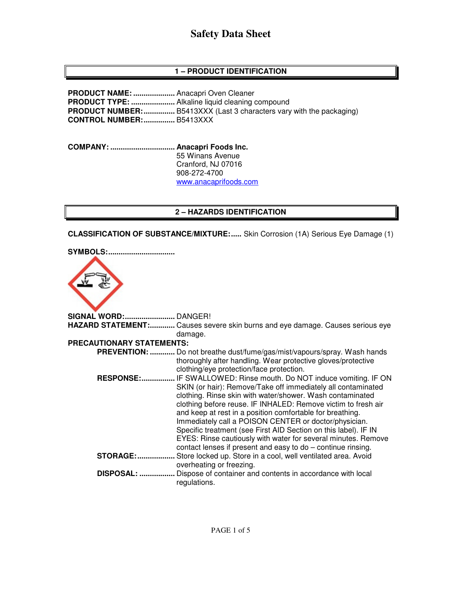### **1 – PRODUCT IDENTIFICATION**

**PRODUCT NAME: ....................** Anacapri Oven Cleaner **PRODUCT TYPE: .....................** Alkaline liquid cleaning compound **PRODUCT NUMBER: ...............** B5413XXX (Last 3 characters vary with the packaging) **CONTROL NUMBER: ...............** B5413XXX

**COMPANY: ............................... Anacapri Foods Inc.** 55 Winans Avenue Cranford, NJ 07016 908-272-4700 www.anacaprifoods.com

#### **2 – HAZARDS IDENTIFICATION**

**CLASSIFICATION OF SUBSTANCE/MIXTURE: .....** Skin Corrosion (1A) Serious Eye Damage (1)



**SIGNAL WORD: ........................** DANGER! **HAZARD STATEMENT: ............** Causes severe skin burns and eye damage. Causes serious eye damage. **PRECAUTIONARY STATEMENTS: PREVENTION: ............** Do not breathe dust/fume/gas/mist/vapours/spray. Wash hands thoroughly after handling. Wear protective gloves/protective clothing/eye protection/face protection.  **RESPONSE: ................** IF SWALLOWED: Rinse mouth. Do NOT induce vomiting. IF ON SKIN (or hair): Remove/Take off immediately all contaminated clothing. Rinse skin with water/shower. Wash contaminated clothing before reuse. IF INHALED: Remove victim to fresh air and keep at rest in a position comfortable for breathing. Immediately call a POISON CENTER or doctor/physician. Specific treatment (see First AID Section on this label). IF IN EYES: Rinse cautiously with water for several minutes. Remove contact lenses if present and easy to do – continue rinsing. **STORAGE: ..................** Store locked up. Store in a cool, well ventilated area. Avoid overheating or freezing.  **DISPOSAL: .................** Dispose of container and contents in accordance with local regulations.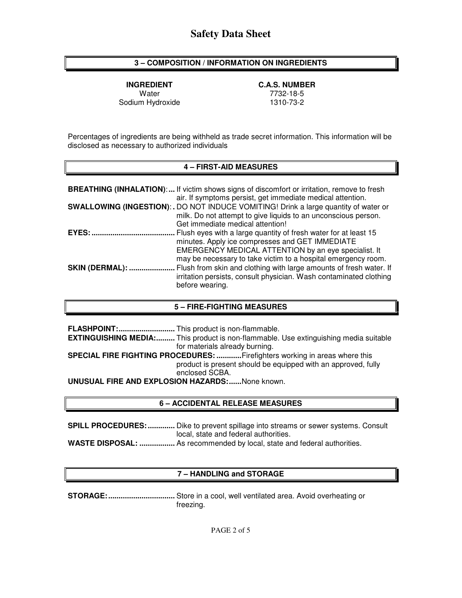#### **3 – COMPOSITION / INFORMATION ON INGREDIENTS**

Sodium Hydroxide

**INGREDIENT C.A.S. NUMBER**  Water 7732-18-5

Percentages of ingredients are being withheld as trade secret information. This information will be disclosed as necessary to authorized individuals

#### **4 – FIRST-AID MEASURES**

|                        | <b>BREATHING (INHALATION):</b> If victim shows signs of discomfort or irritation, remove to fresh<br>air. If symptoms persist, get immediate medical attention.                                                                             |
|------------------------|---------------------------------------------------------------------------------------------------------------------------------------------------------------------------------------------------------------------------------------------|
|                        | SWALLOWING (INGESTION): . DO NOT INDUCE VOMITING! Drink a large quantity of water or<br>milk. Do not attempt to give liquids to an unconscious person.<br>Get immediate medical attention!                                                  |
| $EYES:$                | Flush eyes with a large quantity of fresh water for at least 15<br>minutes. Apply ice compresses and GET IMMEDIATE<br>EMERGENCY MEDICAL ATTENTION by an eye specialist. It<br>may be necessary to take victim to a hospital emergency room. |
| <b>SKIN (DERMAL): </b> | Flush from skin and clothing with large amounts of fresh water. If<br>irritation persists, consult physician. Wash contaminated clothing<br>before wearing.                                                                                 |

#### **5 – FIRE-FIGHTING MEASURES**

|                                                        | <b>EXTINGUISHING MEDIA:</b> This product is non-flammable. Use extinguishing media suitable |  |
|--------------------------------------------------------|---------------------------------------------------------------------------------------------|--|
|                                                        | for materials already burning.                                                              |  |
|                                                        | <b>SPECIAL FIRE FIGHTING PROCEDURES: Firefighters working in areas where this</b>           |  |
|                                                        | product is present should be equipped with an approved, fully                               |  |
|                                                        | enclosed SCBA.                                                                              |  |
| <b>UNUSUAL FIRE AND EXPLOSION HAZARDS:</b> None known. |                                                                                             |  |

#### **6 – ACCIDENTAL RELEASE MEASURES**

**SPILL PROCEDURES: .............** Dike to prevent spillage into streams or sewer systems. Consult local, state and federal authorities. **WASTE DISPOSAL: .................** As recommended by local, state and federal authorities.

#### **7 – HANDLING and STORAGE**

**STORAGE: ................................** Store in a cool, well ventilated area. Avoid overheating or freezing.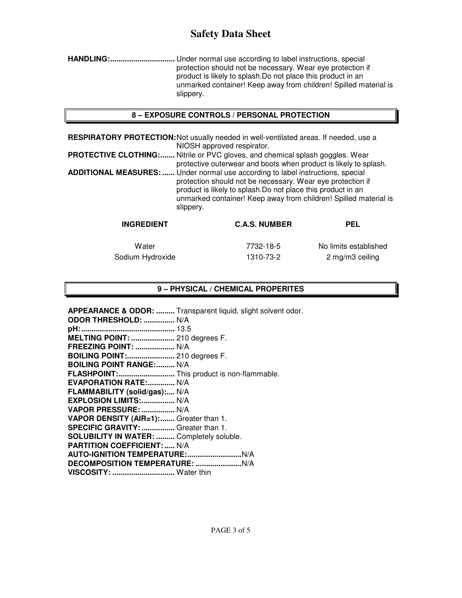**HANDLING: ...............................** Under normal use according to label instructions, special protection should not be necessary. Wear eye protection if product is likely to splash.Do not place this product in an unmarked container! Keep away from children! Spilled material is slippery.

### **8 – EXPOSURE CONTROLS / PERSONAL PROTECTION**

**RESPIRATORY PROTECTION:** Not usually needed in well-ventilated areas. If needed, use a NIOSH approved respirator.

**PROTECTIVE CLOTHING:.......** Nitrile or PVC gloves, and chemical splash goggles. Wear protective outerwear and boots when product is likely to splash. **ADDITIONAL MEASURES: ......** Under normal use according to label instructions, special protection should not be necessary. Wear eye protection if product is likely to splash.Do not place this product in an unmarked container! Keep away from children! Spilled material is slippery.

| <b>INGREDIENT</b> | <b>C.A.S. NUMBER</b> | PEL                   |
|-------------------|----------------------|-----------------------|
| Water             | 7732-18-5            | No limits established |
| Sodium Hydroxide  | 1310-73-2            | 2 mg/m3 ceiling       |

## **9 – PHYSICAL / CHEMICAL PROPERITES**

|                                            | APPEARANCE & ODOR:  Transparent liquid, slight solvent odor. |
|--------------------------------------------|--------------------------------------------------------------|
| ODOR THRESHOLD:  N/A                       |                                                              |
|                                            |                                                              |
| MELTING POINT:  210 degrees F.             |                                                              |
| <b>FREEZING POINT:  N/A</b>                |                                                              |
| <b>BOILING POINT: 210 degrees F.</b>       |                                                              |
| <b>BOILING POINT RANGE: N/A</b>            |                                                              |
| FLASHPOINT: This product is non-flammable. |                                                              |
| EVAPORATION RATE: N/A                      |                                                              |
| FLAMMABILITY (solid/gas): N/A              |                                                              |
| EXPLOSION LIMITS:  N/A                     |                                                              |
| VAPOR PRESSURE:  N/A                       |                                                              |
| VAPOR DENSITY (AIR=1): Greater than 1.     |                                                              |
| SPECIFIC GRAVITY:  Greater than 1.         |                                                              |
| SOLUBILITY IN WATER:  Completely soluble.  |                                                              |
| <b>PARTITION COEFFICIENT:  N/A</b>         |                                                              |
|                                            |                                                              |
|                                            |                                                              |
| VISCOSITY:  Water thin                     |                                                              |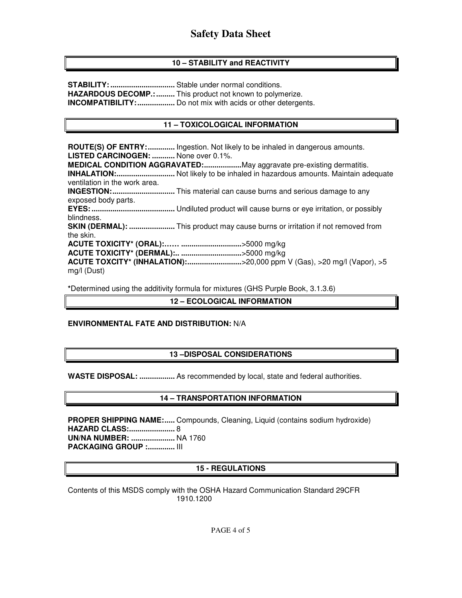## **10 – STABILITY and REACTIVITY**

**STABILITY: ...............................** Stable under normal conditions. **HAZARDOUS DECOMP.: .........** This product not known to polymerize. **INCOMPATIBILITY: ..................** Do not mix with acids or other detergents.

## **11 – TOXICOLOGICAL INFORMATION**

**ROUTE(S) OF ENTRY: .............** Ingestion. Not likely to be inhaled in dangerous amounts. **LISTED CARCINOGEN: ...........** None over 0.1%. **MEDICAL CONDITION AGGRAVATED: ..................** May aggravate pre-existing dermatitis. **INHALATION: ............................** Not likely to be inhaled in hazardous amounts. Maintain adequate ventilation in the work area. **INGESTION: ..............................** This material can cause burns and serious damage to any exposed body parts. **EYES: ........................................** Undiluted product will cause burns or eye irritation, or possibly blindness. **SKIN (DERMAL): ......................** This product may cause burns or irritation if not removed from the skin. **ACUTE TOXICITY\* (ORAL):…… .............................** >5000 mg/kg **ACUTE TOXICITY\* (DERMAL):.. .............................** >5000 mg/kg **ACUTE TOXCITY\* (INHALATION):...............................>20,000 ppm V (Gas), >20 mg/l (Vapor), >5** mg/l (Dust)

**\***Determined using the additivity formula for mixtures (GHS Purple Book, 3.1.3.6)

### **12 – ECOLOGICAL INFORMATION**

## **ENVIRONMENTAL FATE AND DISTRIBUTION:** N/A

## **13 –DISPOSAL CONSIDERATIONS**

**WASTE DISPOSAL: .................** As recommended by local, state and federal authorities.

## **14 – TRANSPORTATION INFORMATION**

**PROPER SHIPPING NAME:.....** Compounds, Cleaning, Liquid (contains sodium hydroxide) **HAZARD CLASS: ......................** 8 **UN/NA NUMBER: .....................** NA 1760 **PACKAGING GROUP :............. III** 

#### **15 - REGULATIONS**

Contents of this MSDS comply with the OSHA Hazard Communication Standard 29CFR 1910.1200

PAGE 4 of 5